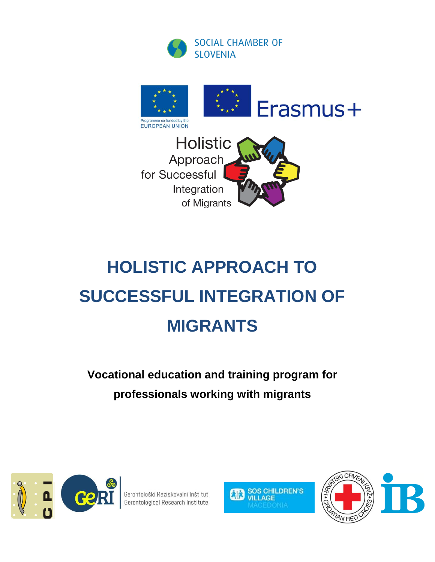



# **HOLISTIC APPROACH TO SUCCESSFUL INTEGRATION OF MIGRANTS**

## **Vocational education and training program for professionals working with migrants**



Gerontološki Raziskovalni Inštitut Gerontological Research Institute



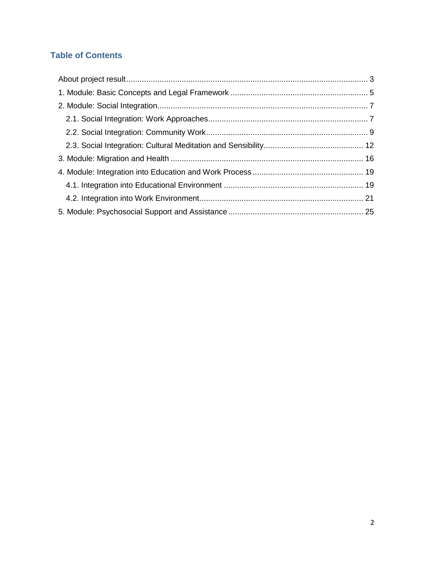#### **Table of Contents**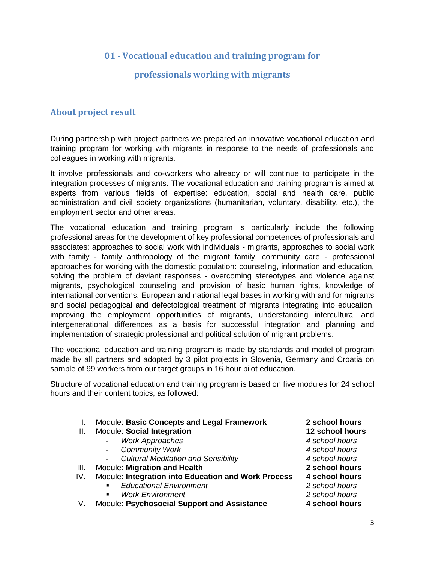#### **01 - Vocational education and training program for**

#### **professionals working with migrants**

#### <span id="page-2-0"></span>**About project result**

During partnership with project partners we prepared an innovative vocational education and training program for working with migrants in response to the needs of professionals and colleagues in working with migrants.

It involve professionals and co-workers who already or will continue to participate in the integration processes of migrants. The vocational education and training program is aimed at experts from various fields of expertise: education, social and health care, public administration and civil society organizations (humanitarian, voluntary, disability, etc.), the employment sector and other areas.

The vocational education and training program is particularly include the following professional areas for the development of key professional competences of professionals and associates: approaches to social work with individuals - migrants, approaches to social work with family - family anthropology of the migrant family, community care - professional approaches for working with the domestic population: counseling, information and education, solving the problem of deviant responses - overcoming stereotypes and violence against migrants, psychological counseling and provision of basic human rights, knowledge of international conventions, European and national legal bases in working with and for migrants and social pedagogical and defectological treatment of migrants integrating into education, improving the employment opportunities of migrants, understanding intercultural and intergenerational differences as a basis for successful integration and planning and implementation of strategic professional and political solution of migrant problems.

The vocational education and training program is made by standards and model of program made by all partners and adopted by 3 pilot projects in Slovenia, Germany and Croatia on sample of 99 workers from our target groups in 16 hour pilot education.

Structure of vocational education and training program is based on five modules for 24 school hours and their content topics, as followed:

- I. Module: **Basic Concepts and Legal Framework 2 school hours**
- II. Module: **Social Integration 12 school hours**
	- *Work Approaches 4 school hours*
	- *Community Work 4 school hours*
	- *Cultural Meditation and Sensibility 4 school hours*
- III. Module: **Migration and Health 2 school hours**
- IV. Module: **Integration into Education and Work Process 4 school hours**
	- *Educational Environment 2 school hours*
		-
- *Work Environment 2 school hours* V. Module: Psychosocial Support and Assistance

- 
- 
- 
- 
- 
- -
-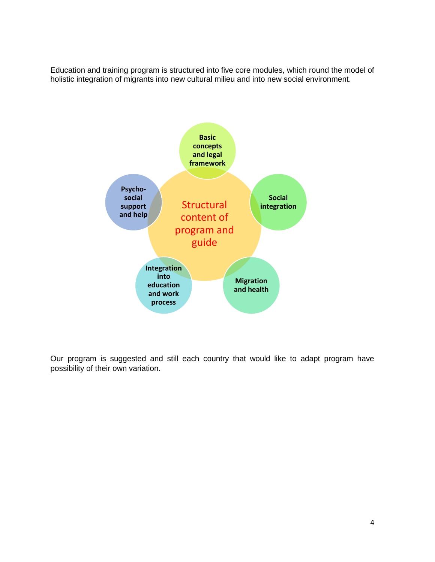Education and training program is structured into five core modules, which round the model of holistic integration of migrants into new cultural milieu and into new social environment.



Our program is suggested and still each country that would like to adapt program have possibility of their own variation.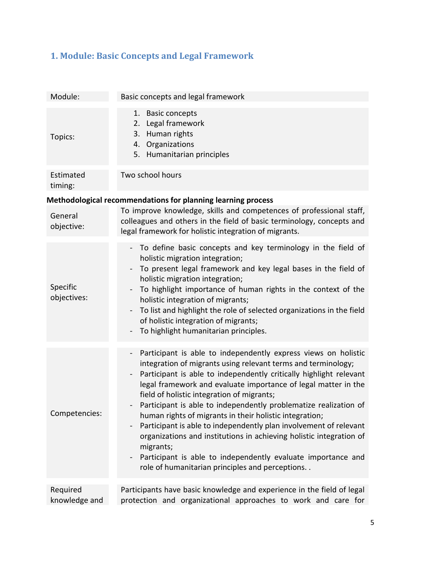### <span id="page-4-0"></span>**1. Module: Basic Concepts and Legal Framework**

| Module:                   | Basic concepts and legal framework                                                                                                                                                                                                                                                                                                                                                                                                                                                                                                                                                                                                                                                                                                                                                    |
|---------------------------|---------------------------------------------------------------------------------------------------------------------------------------------------------------------------------------------------------------------------------------------------------------------------------------------------------------------------------------------------------------------------------------------------------------------------------------------------------------------------------------------------------------------------------------------------------------------------------------------------------------------------------------------------------------------------------------------------------------------------------------------------------------------------------------|
| Topics:                   | <b>Basic concepts</b><br>1.<br>2. Legal framework<br>3. Human rights<br>4. Organizations<br>5. Humanitarian principles                                                                                                                                                                                                                                                                                                                                                                                                                                                                                                                                                                                                                                                                |
| Estimated<br>timing:      | Two school hours                                                                                                                                                                                                                                                                                                                                                                                                                                                                                                                                                                                                                                                                                                                                                                      |
|                           | Methodological recommendations for planning learning process                                                                                                                                                                                                                                                                                                                                                                                                                                                                                                                                                                                                                                                                                                                          |
| General<br>objective:     | To improve knowledge, skills and competences of professional staff,<br>colleagues and others in the field of basic terminology, concepts and<br>legal framework for holistic integration of migrants.                                                                                                                                                                                                                                                                                                                                                                                                                                                                                                                                                                                 |
| Specific<br>objectives:   | To define basic concepts and key terminology in the field of<br>$\Box$<br>holistic migration integration;<br>To present legal framework and key legal bases in the field of<br>holistic migration integration;<br>To highlight importance of human rights in the context of the<br>holistic integration of migrants;<br>To list and highlight the role of selected organizations in the field<br>of holistic integration of migrants;<br>To highlight humanitarian principles.                                                                                                                                                                                                                                                                                                        |
| Competencies:             | Participant is able to independently express views on holistic<br>$\qquad \qquad -$<br>integration of migrants using relevant terms and terminology;<br>Participant is able to independently critically highlight relevant<br>legal framework and evaluate importance of legal matter in the<br>field of holistic integration of migrants;<br>Participant is able to independently problematize realization of<br>human rights of migrants in their holistic integration;<br>Participant is able to independently plan involvement of relevant<br>organizations and institutions in achieving holistic integration of<br>migrants;<br>Participant is able to independently evaluate importance and<br>$\qquad \qquad \blacksquare$<br>role of humanitarian principles and perceptions |
| Required<br>knowledge and | Participants have basic knowledge and experience in the field of legal<br>protection and organizational approaches to work and care for                                                                                                                                                                                                                                                                                                                                                                                                                                                                                                                                                                                                                                               |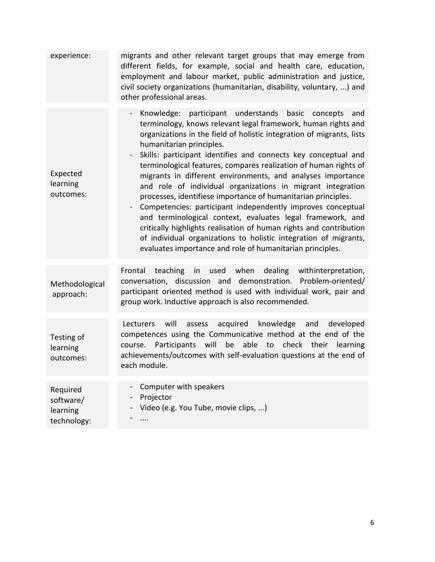| experience:                                      | migrants and other relevant target groups that may emerge from<br>different fields, for example, social and health care, education,<br>employment and labour market, public administration and justice,<br>civil society organizations (humanitarian, disability, voluntary, ) and<br>other professional areas.                                                                                                                                                                                                                                                                                                                                                                                                                                                                                                                                                                                               |
|--------------------------------------------------|---------------------------------------------------------------------------------------------------------------------------------------------------------------------------------------------------------------------------------------------------------------------------------------------------------------------------------------------------------------------------------------------------------------------------------------------------------------------------------------------------------------------------------------------------------------------------------------------------------------------------------------------------------------------------------------------------------------------------------------------------------------------------------------------------------------------------------------------------------------------------------------------------------------|
| Expected<br>learning<br>outcomes:                | Knowledge: participant understands<br>basic<br>and<br>concepts<br>terminology, knows relevant legal framework, human rights and<br>organizations in the field of holistic integration of migrants, lists<br>humanitarian principles.<br>Skills: participant identifies and connects key conceptual and<br>terminological features, compares realization of human rights of<br>migrants in different environments, and analyses importance<br>and role of individual organizations in migrant integration<br>processes, identifiese importance of humanitarian principles.<br>Competencies: participant independently improves conceptual<br>and terminological context, evaluates legal framework, and<br>critically highlights realisation of human rights and contribution<br>of individual organizations to holistic integration of migrants,<br>evaluates importance and role of humanitarian principles. |
| Methodological<br>approach:                      | used when<br>teaching<br>dealing<br>withinterpretation,<br>Frontal<br>in<br>conversation, discussion and demonstration. Problem-oriented/<br>participant oriented method is used with individual work, pair and<br>group work. Inductive approach is also recommended.                                                                                                                                                                                                                                                                                                                                                                                                                                                                                                                                                                                                                                        |
| Testing of<br>learning<br>outcomes:              | will<br>acquired<br>knowledge<br>and<br>developed<br>Lecturers<br>assess<br>competences using the Communicative method at the end of the<br>check their learning<br>Participants will<br>be<br>able to<br>course.<br>achievements/outcomes with self-evaluation questions at the end of<br>each module.                                                                                                                                                                                                                                                                                                                                                                                                                                                                                                                                                                                                       |
| Required<br>software/<br>learning<br>technology: | Computer with speakers<br>-<br>Projector<br>Video (e.g. You Tube, movie clips, )<br>.                                                                                                                                                                                                                                                                                                                                                                                                                                                                                                                                                                                                                                                                                                                                                                                                                         |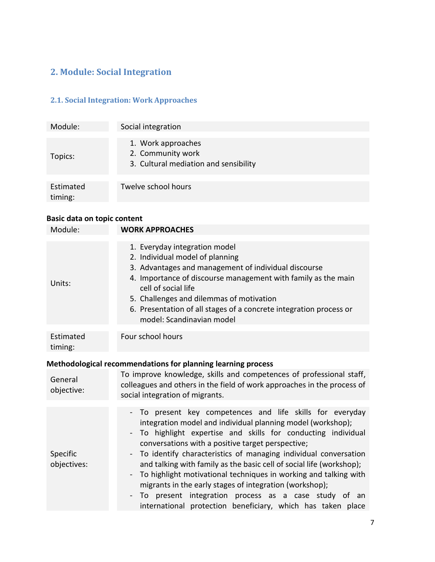#### <span id="page-6-0"></span>**2. Module: Social Integration**

#### <span id="page-6-1"></span>**2.1. Social Integration: Work Approaches**

| Module:              | Social integration                                                               |
|----------------------|----------------------------------------------------------------------------------|
| Topics:              | 1. Work approaches<br>2. Community work<br>3. Cultural mediation and sensibility |
| Estimated<br>timing: | Twelve school hours                                                              |

| Module:                                                      | <b>WORK APPROACHES</b>                                                                                                                                                                                                                                                                                                                                                                                                                                                                                                                                                                                                                        |  |
|--------------------------------------------------------------|-----------------------------------------------------------------------------------------------------------------------------------------------------------------------------------------------------------------------------------------------------------------------------------------------------------------------------------------------------------------------------------------------------------------------------------------------------------------------------------------------------------------------------------------------------------------------------------------------------------------------------------------------|--|
|                                                              |                                                                                                                                                                                                                                                                                                                                                                                                                                                                                                                                                                                                                                               |  |
| Units:                                                       | 1. Everyday integration model<br>2. Individual model of planning<br>3. Advantages and management of individual discourse<br>4. Importance of discourse management with family as the main<br>cell of social life<br>5. Challenges and dilemmas of motivation<br>6. Presentation of all stages of a concrete integration process or<br>model: Scandinavian model                                                                                                                                                                                                                                                                               |  |
| Estimated<br>timing:                                         | Four school hours                                                                                                                                                                                                                                                                                                                                                                                                                                                                                                                                                                                                                             |  |
| Methodological recommendations for planning learning process |                                                                                                                                                                                                                                                                                                                                                                                                                                                                                                                                                                                                                                               |  |
| General<br>objective:                                        | To improve knowledge, skills and competences of professional staff,<br>colleagues and others in the field of work approaches in the process of<br>social integration of migrants.                                                                                                                                                                                                                                                                                                                                                                                                                                                             |  |
| Specific<br>objectives:                                      | - To present key competences and life skills for everyday<br>integration model and individual planning model (workshop);<br>To highlight expertise and skills for conducting individual<br>conversations with a positive target perspective;<br>To identify characteristics of managing individual conversation<br>and talking with family as the basic cell of social life (workshop);<br>To highlight motivational techniques in working and talking with<br>migrants in the early stages of integration (workshop);<br>To present integration process as a case study of an<br>international protection beneficiary, which has taken place |  |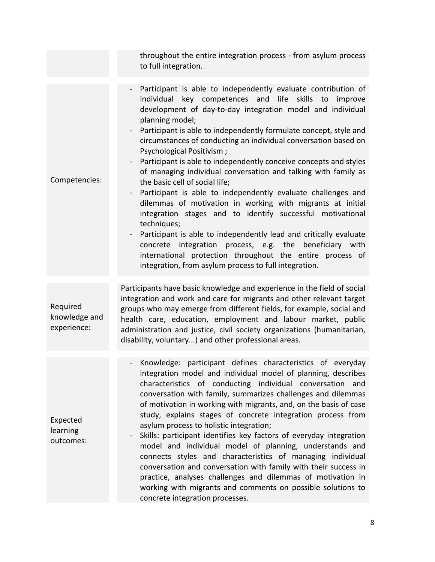| throughout the entire integration process - from asylum process<br>to full integration.                                                                                                                                                                                                                                                                                                                                                                                                                                                                                                                                                                                                                                                                                                                                                                                                                                                                                                                                           |
|-----------------------------------------------------------------------------------------------------------------------------------------------------------------------------------------------------------------------------------------------------------------------------------------------------------------------------------------------------------------------------------------------------------------------------------------------------------------------------------------------------------------------------------------------------------------------------------------------------------------------------------------------------------------------------------------------------------------------------------------------------------------------------------------------------------------------------------------------------------------------------------------------------------------------------------------------------------------------------------------------------------------------------------|
| - Participant is able to independently evaluate contribution of<br>individual key competences and life skills to<br>improve<br>development of day-to-day integration model and individual<br>planning model;<br>Participant is able to independently formulate concept, style and<br>circumstances of conducting an individual conversation based on<br>Psychological Positivism;<br>Participant is able to independently conceive concepts and styles<br>of managing individual conversation and talking with family as<br>the basic cell of social life;<br>Participant is able to independently evaluate challenges and<br>dilemmas of motivation in working with migrants at initial<br>integration stages and to identify successful motivational<br>techniques;<br>Participant is able to independently lead and critically evaluate<br>concrete<br>integration process, e.g. the<br>beneficiary with<br>international protection throughout the entire process of<br>integration, from asylum process to full integration. |
| Participants have basic knowledge and experience in the field of social<br>integration and work and care for migrants and other relevant target<br>groups who may emerge from different fields, for example, social and<br>health care, education, employment and labour market, public<br>administration and justice, civil society organizations (humanitarian,<br>disability, voluntary) and other professional areas.                                                                                                                                                                                                                                                                                                                                                                                                                                                                                                                                                                                                         |
| Knowledge: participant defines characteristics of everyday<br>integration model and individual model of planning, describes<br>characteristics of conducting individual conversation<br>and<br>conversation with family, summarizes challenges and dilemmas<br>of motivation in working with migrants, and, on the basis of case<br>study, explains stages of concrete integration process from<br>asylum process to holistic integration;<br>Skills: participant identifies key factors of everyday integration<br>model and individual model of planning, understands and<br>connects styles and characteristics of managing individual<br>conversation and conversation with family with their success in<br>practice, analyses challenges and dilemmas of motivation in<br>working with migrants and comments on possible solutions to<br>concrete integration processes.                                                                                                                                                     |
|                                                                                                                                                                                                                                                                                                                                                                                                                                                                                                                                                                                                                                                                                                                                                                                                                                                                                                                                                                                                                                   |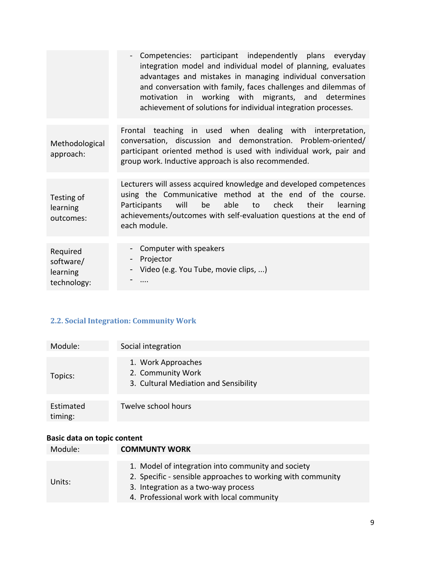|                                     | Competencies: participant independently plans everyday<br>integration model and individual model of planning, evaluates<br>advantages and mistakes in managing individual conversation<br>and conversation with family, faces challenges and dilemmas of<br>motivation in working with migrants, and determines<br>achievement of solutions for individual integration processes. |
|-------------------------------------|-----------------------------------------------------------------------------------------------------------------------------------------------------------------------------------------------------------------------------------------------------------------------------------------------------------------------------------------------------------------------------------|
| Methodological<br>approach:         | Frontal teaching in used when dealing with interpretation,<br>conversation, discussion and demonstration. Problem-oriented/<br>participant oriented method is used with individual work, pair and<br>group work. Inductive approach is also recommended.                                                                                                                          |
| Testing of<br>learning<br>outcomes: | Lecturers will assess acquired knowledge and developed competences<br>using the Communicative method at the end of the course.<br>will<br>be<br>able to check their<br>Participants<br>learning<br>achievements/outcomes with self-evaluation questions at the end of<br>each module.                                                                                             |
| Required                            | Computer with speakers                                                                                                                                                                                                                                                                                                                                                            |
| software/                           | - Projector                                                                                                                                                                                                                                                                                                                                                                       |
| learning                            | - Video (e.g. You Tube, movie clips, )                                                                                                                                                                                                                                                                                                                                            |
| technology:                         |                                                                                                                                                                                                                                                                                                                                                                                   |

#### <span id="page-8-0"></span>**2.2. Social Integration: Community Work**

| Module:              | Social integration                                                               |
|----------------------|----------------------------------------------------------------------------------|
| Topics:              | 1. Work Approaches<br>2. Community Work<br>3. Cultural Mediation and Sensibility |
| Estimated<br>timing: | Twelve school hours                                                              |

| Module: | <b>COMMUNTY WORK</b>                                                                                                                                                                                  |
|---------|-------------------------------------------------------------------------------------------------------------------------------------------------------------------------------------------------------|
| Units:  | 1. Model of integration into community and society<br>2. Specific - sensible approaches to working with community<br>3. Integration as a two-way process<br>4. Professional work with local community |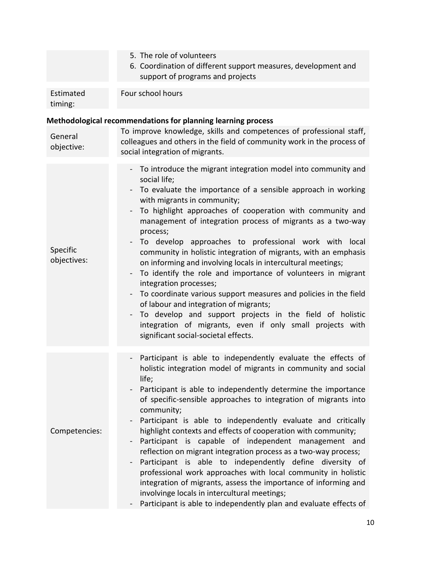|                         | 5. The role of volunteers<br>6. Coordination of different support measures, development and<br>support of programs and projects                                                                                                                                                                                                                                                                                                                                                                                                                                                                                                                                                                                                                                                                                                                                                                                                                                      |
|-------------------------|----------------------------------------------------------------------------------------------------------------------------------------------------------------------------------------------------------------------------------------------------------------------------------------------------------------------------------------------------------------------------------------------------------------------------------------------------------------------------------------------------------------------------------------------------------------------------------------------------------------------------------------------------------------------------------------------------------------------------------------------------------------------------------------------------------------------------------------------------------------------------------------------------------------------------------------------------------------------|
| Estimated<br>timing:    | Four school hours                                                                                                                                                                                                                                                                                                                                                                                                                                                                                                                                                                                                                                                                                                                                                                                                                                                                                                                                                    |
|                         | Methodological recommendations for planning learning process                                                                                                                                                                                                                                                                                                                                                                                                                                                                                                                                                                                                                                                                                                                                                                                                                                                                                                         |
| General<br>objective:   | To improve knowledge, skills and competences of professional staff,<br>colleagues and others in the field of community work in the process of<br>social integration of migrants.                                                                                                                                                                                                                                                                                                                                                                                                                                                                                                                                                                                                                                                                                                                                                                                     |
| Specific<br>objectives: | - To introduce the migrant integration model into community and<br>social life;<br>To evaluate the importance of a sensible approach in working<br>with migrants in community;<br>To highlight approaches of cooperation with community and<br>management of integration process of migrants as a two-way<br>process;<br>To develop approaches to professional work with local<br>$\qquad \qquad -$<br>community in holistic integration of migrants, with an emphasis<br>on informing and involving locals in intercultural meetings;<br>To identify the role and importance of volunteers in migrant<br>integration processes;<br>To coordinate various support measures and policies in the field<br>$\qquad \qquad \blacksquare$<br>of labour and integration of migrants;<br>To develop and support projects in the field of holistic<br>$\qquad \qquad -$<br>integration of migrants, even if only small projects with<br>significant social-societal effects. |
| Competencies:           | - Participant is able to independently evaluate the effects of<br>holistic integration model of migrants in community and social<br>life;<br>Participant is able to independently determine the importance<br>of specific-sensible approaches to integration of migrants into<br>community;<br>Participant is able to independently evaluate and critically<br>highlight contexts and effects of cooperation with community;<br>Participant is capable of independent management and<br>reflection on migrant integration process as a two-way process;<br>Participant is able to independently define diversity of<br>professional work approaches with local community in holistic<br>integration of migrants, assess the importance of informing and<br>involvinge locals in intercultural meetings;<br>Participant is able to independently plan and evaluate effects of                                                                                         |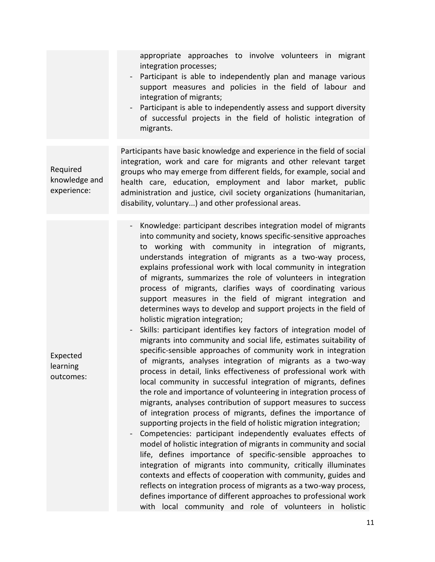appropriate approaches to involve volunteers in migrant integration processes; - Participant is able to independently plan and manage various support measures and policies in the field of labour and integration of migrants; - Participant is able to independently assess and support diversity of successful projects in the field of holistic integration of migrants. Required knowledge and experience: Participants have basic knowledge and experience in the field of social integration, work and care for migrants and other relevant target groups who may emerge from different fields, for example, social and health care, education, employment and labor market, public administration and justice, civil society organizations (humanitarian, disability, voluntary...) and other professional areas. Expected learning outcomes: Knowledge: participant describes integration model of migrants into community and society, knows specific-sensitive approaches to working with community in integration of migrants, understands integration of migrants as a two-way process, explains professional work with local community in integration of migrants, summarizes the role of volunteers in integration process of migrants, clarifies ways of coordinating various support measures in the field of migrant integration and determines ways to develop and support projects in the field of holistic migration integration; Skills: participant identifies key factors of integration model of migrants into community and social life, estimates suitability of specific-sensible approaches of community work in integration of migrants, analyses integration of migrants as a two-way process in detail, links effectiveness of professional work with local community in successful integration of migrants, defines the role and importance of volunteering in integration process of migrants, analyses contribution of support measures to success of integration process of migrants, defines the importance of supporting projects in the field of holistic migration integration; Competencies: participant independently evaluates effects of model of holistic integration of migrants in community and social life, defines importance of specific-sensible approaches to integration of migrants into community, critically illuminates contexts and effects of cooperation with community, guides and reflects on integration process of migrants as a two-way process, defines importance of different approaches to professional work with local community and role of volunteers in holistic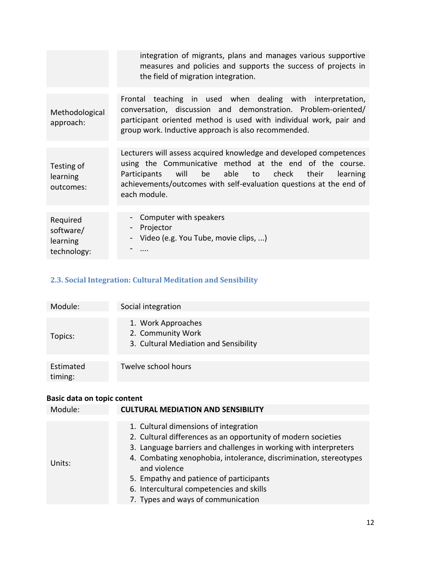|                                                  | integration of migrants, plans and manages various supportive<br>measures and policies and supports the success of projects in<br>the field of migration integration.                                                                                                        |
|--------------------------------------------------|------------------------------------------------------------------------------------------------------------------------------------------------------------------------------------------------------------------------------------------------------------------------------|
| Methodological<br>approach:                      | Frontal teaching in used when dealing with interpretation,<br>conversation, discussion and demonstration. Problem-oriented/<br>participant oriented method is used with individual work, pair and<br>group work. Inductive approach is also recommended.                     |
| Testing of<br>learning<br>outcomes:              | Lecturers will assess acquired knowledge and developed competences<br>using the Communicative method at the end of the course.<br>Participants will be able to check their<br>learning<br>achievements/outcomes with self-evaluation questions at the end of<br>each module. |
| Required<br>software/<br>learning<br>technology: | - Computer with speakers<br>Projector<br>$\blacksquare$<br>Video (e.g. You Tube, movie clips, )<br>$\blacksquare$                                                                                                                                                            |

#### <span id="page-11-0"></span>**2.3. Social Integration: Cultural Meditation and Sensibility**

| Module:              | Social integration                                                               |
|----------------------|----------------------------------------------------------------------------------|
| Topics:              | 1. Work Approaches<br>2. Community Work<br>3. Cultural Mediation and Sensibility |
| Estimated<br>timing: | Twelve school hours                                                              |

| Module: | <b>CULTURAL MEDIATION AND SENSIBILITY</b>                                                                                                                                                                                                                                                                                                                                                    |
|---------|----------------------------------------------------------------------------------------------------------------------------------------------------------------------------------------------------------------------------------------------------------------------------------------------------------------------------------------------------------------------------------------------|
|         |                                                                                                                                                                                                                                                                                                                                                                                              |
| Units:  | 1. Cultural dimensions of integration<br>2. Cultural differences as an opportunity of modern societies<br>3. Language barriers and challenges in working with interpreters<br>4. Combating xenophobia, intolerance, discrimination, stereotypes<br>and violence<br>5. Empathy and patience of participants<br>6. Intercultural competencies and skills<br>7. Types and ways of communication |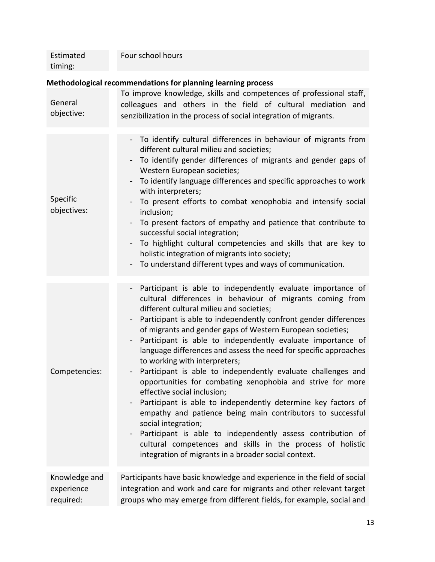| Estimated | Four school hours |
|-----------|-------------------|
| timing:   |                   |

#### **Methodological recommendations for planning learning process**

| General<br>objective:                    | To improve knowledge, skills and competences of professional staff,<br>colleagues and others in the field of cultural mediation and<br>senzibilization in the process of social integration of migrants.                                                                                                                                                                                                                                                                                                                                                                                                                                                                                                                                                                                                                                                                                                                                                                                               |
|------------------------------------------|--------------------------------------------------------------------------------------------------------------------------------------------------------------------------------------------------------------------------------------------------------------------------------------------------------------------------------------------------------------------------------------------------------------------------------------------------------------------------------------------------------------------------------------------------------------------------------------------------------------------------------------------------------------------------------------------------------------------------------------------------------------------------------------------------------------------------------------------------------------------------------------------------------------------------------------------------------------------------------------------------------|
| Specific<br>objectives:                  | - To identify cultural differences in behaviour of migrants from<br>different cultural milieu and societies;<br>To identify gender differences of migrants and gender gaps of<br>$\overline{\phantom{0}}$<br>Western European societies;<br>To identify language differences and specific approaches to work<br>with interpreters;<br>To present efforts to combat xenophobia and intensify social<br>inclusion;<br>To present factors of empathy and patience that contribute to<br>successful social integration;<br>To highlight cultural competencies and skills that are key to<br>holistic integration of migrants into society;<br>To understand different types and ways of communication.                                                                                                                                                                                                                                                                                                     |
| Competencies:                            | Participant is able to independently evaluate importance of<br>$\blacksquare$<br>cultural differences in behaviour of migrants coming from<br>different cultural milieu and societies;<br>Participant is able to independently confront gender differences<br>of migrants and gender gaps of Western European societies;<br>Participant is able to independently evaluate importance of<br>language differences and assess the need for specific approaches<br>to working with interpreters;<br>Participant is able to independently evaluate challenges and<br>opportunities for combating xenophobia and strive for more<br>effective social inclusion;<br>- Participant is able to independently determine key factors of<br>empathy and patience being main contributors to successful<br>social integration;<br>Participant is able to independently assess contribution of<br>cultural competences and skills in the process of holistic<br>integration of migrants in a broader social context. |
| Knowledge and<br>experience<br>required: | Participants have basic knowledge and experience in the field of social<br>integration and work and care for migrants and other relevant target<br>groups who may emerge from different fields, for example, social and                                                                                                                                                                                                                                                                                                                                                                                                                                                                                                                                                                                                                                                                                                                                                                                |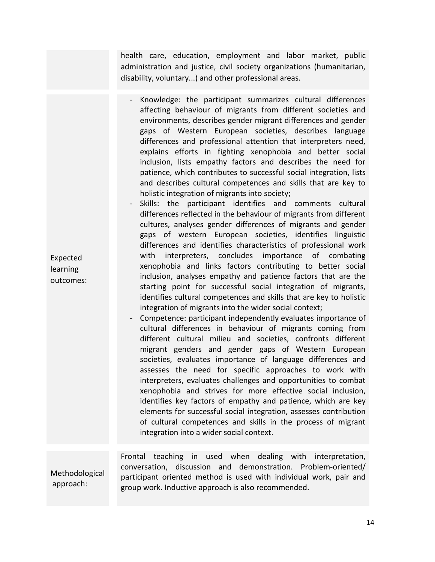health care, education, employment and labor market, public administration and justice, civil society organizations (humanitarian, disability, voluntary...) and other professional areas.

- Knowledge: the participant summarizes cultural differences affecting behaviour of migrants from different societies and environments, describes gender migrant differences and gender gaps of Western European societies, describes language differences and professional attention that interpreters need, explains efforts in fighting xenophobia and better social inclusion, lists empathy factors and describes the need for patience, which contributes to successful social integration, lists and describes cultural competences and skills that are key to holistic integration of migrants into society;
- Skills: the participant identifies and comments cultural differences reflected in the behaviour of migrants from different cultures, analyses gender differences of migrants and gender gaps of western European societies, identifies linguistic differences and identifies characteristics of professional work with interpreters, concludes importance of combating xenophobia and links factors contributing to better social inclusion, analyses empathy and patience factors that are the starting point for successful social integration of migrants, identifies cultural competences and skills that are key to holistic integration of migrants into the wider social context;
- Competence: participant independently evaluates importance of cultural differences in behaviour of migrants coming from different cultural milieu and societies, confronts different migrant genders and gender gaps of Western European societies, evaluates importance of language differences and assesses the need for specific approaches to work with interpreters, evaluates challenges and opportunities to combat xenophobia and strives for more effective social inclusion, identifies key factors of empathy and patience, which are key elements for successful social integration, assesses contribution of cultural competences and skills in the process of migrant integration into a wider social context.

Methodological approach: Frontal teaching in used when dealing with interpretation, conversation, discussion and demonstration. Problem-oriented/ participant oriented method is used with individual work, pair and group work. Inductive approach is also recommended.

Expected learning outcomes: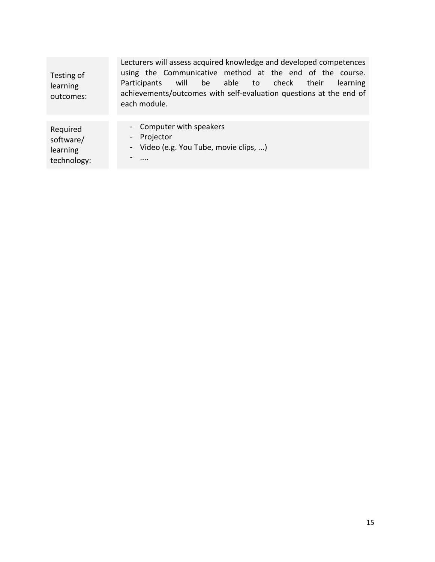| Testing of<br>learning<br>outcomes: | Lecturers will assess acquired knowledge and developed competences<br>using the Communicative method at the end of the course.<br>will<br>be able to check their<br>Participants<br>learning<br>achievements/outcomes with self-evaluation questions at the end of<br>each module. |
|-------------------------------------|------------------------------------------------------------------------------------------------------------------------------------------------------------------------------------------------------------------------------------------------------------------------------------|
| Required                            | - Computer with speakers                                                                                                                                                                                                                                                           |
| software/                           | - Projector                                                                                                                                                                                                                                                                        |
| learning                            | - Video (e.g. You Tube, movie clips, )                                                                                                                                                                                                                                             |
| technology:                         | $\cdots$                                                                                                                                                                                                                                                                           |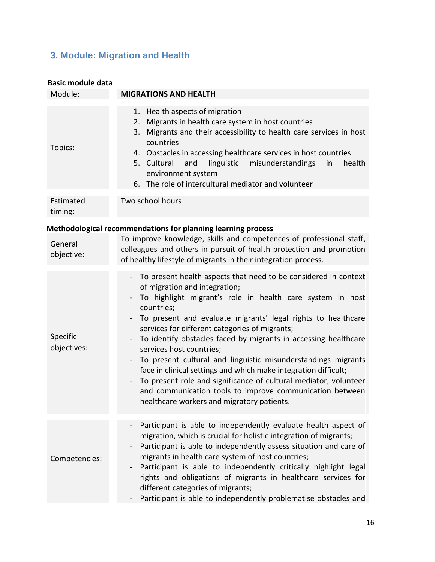#### <span id="page-15-0"></span>**3. Module: Migration and Health**

| <b>Basic module data</b> |                                                                                                                                                                                                                                                                                                                                                                                                                                                                                                                                                                                                                                                                                                                                                                        |
|--------------------------|------------------------------------------------------------------------------------------------------------------------------------------------------------------------------------------------------------------------------------------------------------------------------------------------------------------------------------------------------------------------------------------------------------------------------------------------------------------------------------------------------------------------------------------------------------------------------------------------------------------------------------------------------------------------------------------------------------------------------------------------------------------------|
| Module:                  | <b>MIGRATIONS AND HEALTH</b>                                                                                                                                                                                                                                                                                                                                                                                                                                                                                                                                                                                                                                                                                                                                           |
| Topics:                  | 1. Health aspects of migration<br>Migrants in health care system in host countries<br>2.<br>Migrants and their accessibility to health care services in host<br>3.<br>countries<br>4. Obstacles in accessing healthcare services in host countries<br>5. Cultural<br>and<br>linguistic<br>misunderstandings<br>health<br>in<br>environment system<br>6. The role of intercultural mediator and volunteer                                                                                                                                                                                                                                                                                                                                                               |
| Estimated<br>timing:     | Two school hours                                                                                                                                                                                                                                                                                                                                                                                                                                                                                                                                                                                                                                                                                                                                                       |
|                          | Methodological recommendations for planning learning process                                                                                                                                                                                                                                                                                                                                                                                                                                                                                                                                                                                                                                                                                                           |
| General<br>objective:    | To improve knowledge, skills and competences of professional staff,<br>colleagues and others in pursuit of health protection and promotion<br>of healthy lifestyle of migrants in their integration process.                                                                                                                                                                                                                                                                                                                                                                                                                                                                                                                                                           |
| Specific<br>objectives:  | To present health aspects that need to be considered in context<br>of migration and integration;<br>To highlight migrant's role in health care system in host<br>countries;<br>To present and evaluate migrants' legal rights to healthcare<br>services for different categories of migrants;<br>To identify obstacles faced by migrants in accessing healthcare<br>$\overline{\phantom{0}}$<br>services host countries;<br>To present cultural and linguistic misunderstandings migrants<br>$\overline{\phantom{0}}$<br>face in clinical settings and which make integration difficult;<br>To present role and significance of cultural mediator, volunteer<br>and communication tools to improve communication between<br>healthcare workers and migratory patients. |
| Competencies:            | Participant is able to independently evaluate health aspect of<br>migration, which is crucial for holistic integration of migrants;<br>Participant is able to independently assess situation and care of<br>migrants in health care system of host countries;<br>Participant is able to independently critically highlight legal<br>rights and obligations of migrants in healthcare services for<br>different categories of migrants;<br>Participant is able to independently problematise obstacles and                                                                                                                                                                                                                                                              |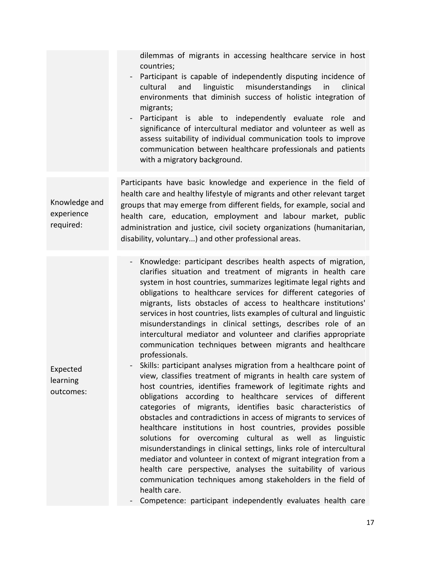dilemmas of migrants in accessing healthcare service in host countries; - Participant is capable of independently disputing incidence of cultural and linguistic misunderstandings in clinical environments that diminish success of holistic integration of migrants; Participant is able to independently evaluate role and significance of intercultural mediator and volunteer as well as assess suitability of individual communication tools to improve communication between healthcare professionals and patients with a migratory background. Knowledge and experience required: Participants have basic knowledge and experience in the field of health care and healthy lifestyle of migrants and other relevant target groups that may emerge from different fields, for example, social and health care, education, employment and labour market, public administration and justice, civil society organizations (humanitarian, disability, voluntary...) and other professional areas. - Knowledge: participant describes health aspects of migration, clarifies situation and treatment of migrants in health care system in host countries, summarizes legitimate legal rights and obligations to healthcare services for different categories of

migrants, lists obstacles of access to healthcare institutions' services in host countries, lists examples of cultural and linguistic misunderstandings in clinical settings, describes role of an intercultural mediator and volunteer and clarifies appropriate communication techniques between migrants and healthcare professionals.

Expected learning outcomes: Skills: participant analyses migration from a healthcare point of view, classifies treatment of migrants in health care system of host countries, identifies framework of legitimate rights and obligations according to healthcare services of different categories of migrants, identifies basic characteristics of obstacles and contradictions in access of migrants to services of healthcare institutions in host countries, provides possible solutions for overcoming cultural as well as linguistic misunderstandings in clinical settings, links role of intercultural mediator and volunteer in context of migrant integration from a health care perspective, analyses the suitability of various communication techniques among stakeholders in the field of health care.

Competence: participant independently evaluates health care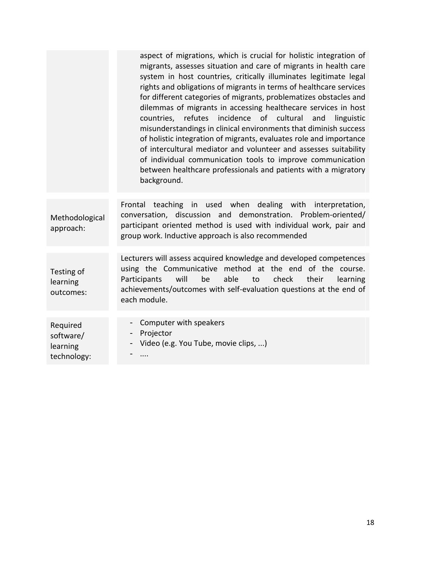|                                     | aspect of migrations, which is crucial for holistic integration of<br>migrants, assesses situation and care of migrants in health care<br>system in host countries, critically illuminates legitimate legal<br>rights and obligations of migrants in terms of healthcare services<br>for different categories of migrants, problematizes obstacles and<br>dilemmas of migrants in accessing healthecare services in host<br>refutes<br>incidence of cultural<br>countries,<br>and<br>linguistic<br>misunderstandings in clinical environments that diminish success<br>of holistic integration of migrants, evaluates role and importance<br>of intercultural mediator and volunteer and assesses suitability<br>of individual communication tools to improve communication<br>between healthcare professionals and patients with a migratory<br>background. |
|-------------------------------------|--------------------------------------------------------------------------------------------------------------------------------------------------------------------------------------------------------------------------------------------------------------------------------------------------------------------------------------------------------------------------------------------------------------------------------------------------------------------------------------------------------------------------------------------------------------------------------------------------------------------------------------------------------------------------------------------------------------------------------------------------------------------------------------------------------------------------------------------------------------|
| Methodological<br>approach:         | teaching in used when dealing with interpretation,<br>Frontal<br>conversation, discussion and demonstration. Problem-oriented/<br>participant oriented method is used with individual work, pair and<br>group work. Inductive approach is also recommended                                                                                                                                                                                                                                                                                                                                                                                                                                                                                                                                                                                                   |
| Testing of<br>learning<br>outcomes: | Lecturers will assess acquired knowledge and developed competences<br>using the Communicative method at the end of the course.<br>will<br>be<br>able<br>check<br>Participants<br>to<br>their<br>learning<br>achievements/outcomes with self-evaluation questions at the end of<br>each module.                                                                                                                                                                                                                                                                                                                                                                                                                                                                                                                                                               |
| Required                            | Computer with speakers                                                                                                                                                                                                                                                                                                                                                                                                                                                                                                                                                                                                                                                                                                                                                                                                                                       |
| software/                           | Projector<br>$\qquad \qquad \blacksquare$                                                                                                                                                                                                                                                                                                                                                                                                                                                                                                                                                                                                                                                                                                                                                                                                                    |
| learning                            | Video (e.g. You Tube, movie clips, )                                                                                                                                                                                                                                                                                                                                                                                                                                                                                                                                                                                                                                                                                                                                                                                                                         |
| technology:                         |                                                                                                                                                                                                                                                                                                                                                                                                                                                                                                                                                                                                                                                                                                                                                                                                                                                              |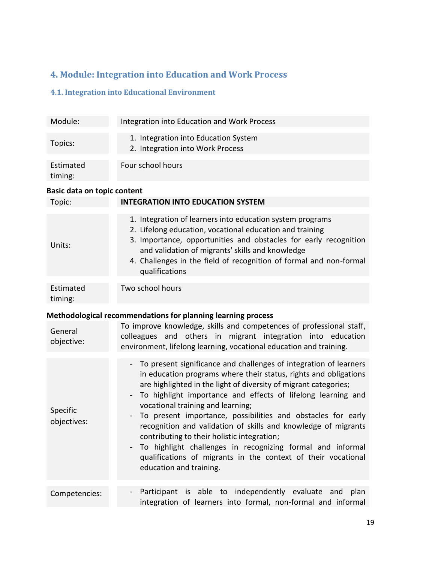#### <span id="page-18-0"></span>**4. Module: Integration into Education and Work Process**

#### <span id="page-18-1"></span>**4.1. Integration into Educational Environment**

| Module:              | Integration into Education and Work Process                              |
|----------------------|--------------------------------------------------------------------------|
| Topics:              | 1. Integration into Education System<br>2. Integration into Work Process |
| Estimated<br>timing: | Four school hours                                                        |

| Topic:                  | <b>INTEGRATION INTO EDUCATION SYSTEM</b>                                                                                                                                                                                                                                                                                                                                                                                                                                                                                                                                                                                                                    |  |
|-------------------------|-------------------------------------------------------------------------------------------------------------------------------------------------------------------------------------------------------------------------------------------------------------------------------------------------------------------------------------------------------------------------------------------------------------------------------------------------------------------------------------------------------------------------------------------------------------------------------------------------------------------------------------------------------------|--|
| Units:                  | 1. Integration of learners into education system programs<br>2. Lifelong education, vocational education and training<br>3. Importance, opportunities and obstacles for early recognition<br>and validation of migrants' skills and knowledge<br>4. Challenges in the field of recognition of formal and non-formal<br>qualifications                                                                                                                                                                                                                                                                                                                       |  |
| Estimated<br>timing:    | Two school hours                                                                                                                                                                                                                                                                                                                                                                                                                                                                                                                                                                                                                                            |  |
| General<br>objective:   | Methodological recommendations for planning learning process<br>To improve knowledge, skills and competences of professional staff,<br>colleagues and others in migrant integration into education<br>environment, lifelong learning, vocational education and training.                                                                                                                                                                                                                                                                                                                                                                                    |  |
| Specific<br>objectives: | - To present significance and challenges of integration of learners<br>in education programs where their status, rights and obligations<br>are highlighted in the light of diversity of migrant categories;<br>To highlight importance and effects of lifelong learning and<br>vocational training and learning;<br>To present importance, possibilities and obstacles for early<br>recognition and validation of skills and knowledge of migrants<br>contributing to their holistic integration;<br>To highlight challenges in recognizing formal and informal<br>qualifications of migrants in the context of their vocational<br>education and training. |  |
| Competencies:           | Participant is able to independently evaluate<br>plan<br>and<br>$\overline{\phantom{0}}$<br>integration of learners into formal, non-formal and informal                                                                                                                                                                                                                                                                                                                                                                                                                                                                                                    |  |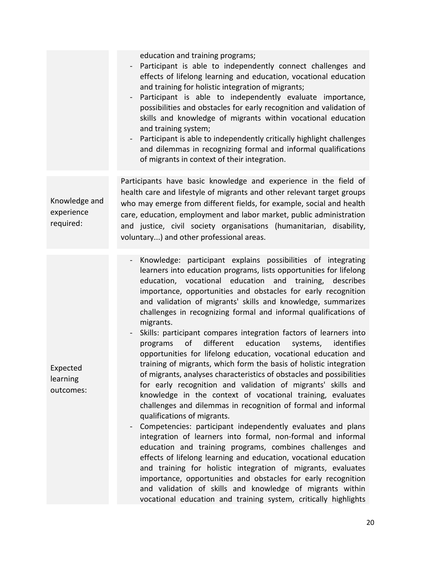|                                          | education and training programs;<br>Participant is able to independently connect challenges and<br>effects of lifelong learning and education, vocational education<br>and training for holistic integration of migrants;<br>Participant is able to independently evaluate importance,<br>$\qquad \qquad -$<br>possibilities and obstacles for early recognition and validation of<br>skills and knowledge of migrants within vocational education<br>and training system;<br>Participant is able to independently critically highlight challenges<br>$\qquad \qquad \blacksquare$<br>and dilemmas in recognizing formal and informal qualifications<br>of migrants in context of their integration.                                                                                                                                                                                                                                                                                                                                                                                                                                                                                                                                                                                                                                                                                                                                                                                                                                    |
|------------------------------------------|-----------------------------------------------------------------------------------------------------------------------------------------------------------------------------------------------------------------------------------------------------------------------------------------------------------------------------------------------------------------------------------------------------------------------------------------------------------------------------------------------------------------------------------------------------------------------------------------------------------------------------------------------------------------------------------------------------------------------------------------------------------------------------------------------------------------------------------------------------------------------------------------------------------------------------------------------------------------------------------------------------------------------------------------------------------------------------------------------------------------------------------------------------------------------------------------------------------------------------------------------------------------------------------------------------------------------------------------------------------------------------------------------------------------------------------------------------------------------------------------------------------------------------------------|
| Knowledge and<br>experience<br>required: | Participants have basic knowledge and experience in the field of<br>health care and lifestyle of migrants and other relevant target groups<br>who may emerge from different fields, for example, social and health<br>care, education, employment and labor market, public administration<br>and justice, civil society organisations (humanitarian, disability,<br>voluntary) and other professional areas.                                                                                                                                                                                                                                                                                                                                                                                                                                                                                                                                                                                                                                                                                                                                                                                                                                                                                                                                                                                                                                                                                                                            |
| Expected<br>learning<br>outcomes:        | Knowledge: participant explains possibilities of integrating<br>learners into education programs, lists opportunities for lifelong<br>education, vocational education and training, describes<br>importance, opportunities and obstacles for early recognition<br>and validation of migrants' skills and knowledge, summarizes<br>challenges in recognizing formal and informal qualifications of<br>migrants.<br>Skills: participant compares integration factors of learners into<br>of<br>different<br>education<br>systems,<br>identifies<br>programs<br>opportunities for lifelong education, vocational education and<br>training of migrants, which form the basis of holistic integration<br>of migrants, analyses characteristics of obstacles and possibilities<br>for early recognition and validation of migrants' skills and<br>knowledge in the context of vocational training, evaluates<br>challenges and dilemmas in recognition of formal and informal<br>qualifications of migrants.<br>Competencies: participant independently evaluates and plans<br>integration of learners into formal, non-formal and informal<br>education and training programs, combines challenges and<br>effects of lifelong learning and education, vocational education<br>and training for holistic integration of migrants, evaluates<br>importance, opportunities and obstacles for early recognition<br>and validation of skills and knowledge of migrants within<br>vocational education and training system, critically highlights |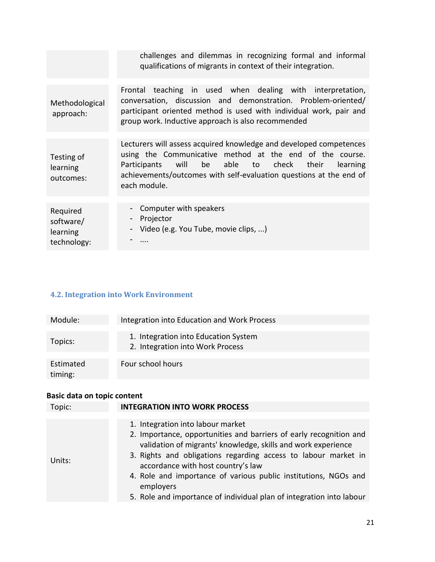|                                                  | challenges and dilemmas in recognizing formal and informal<br>qualifications of migrants in context of their integration.                                                                                                                                                    |
|--------------------------------------------------|------------------------------------------------------------------------------------------------------------------------------------------------------------------------------------------------------------------------------------------------------------------------------|
|                                                  |                                                                                                                                                                                                                                                                              |
| Methodological<br>approach:                      | Frontal teaching in used when dealing with interpretation,<br>conversation, discussion and demonstration. Problem-oriented/<br>participant oriented method is used with individual work, pair and<br>group work. Inductive approach is also recommended                      |
|                                                  |                                                                                                                                                                                                                                                                              |
| Testing of<br>learning<br>outcomes:              | Lecturers will assess acquired knowledge and developed competences<br>using the Communicative method at the end of the course.<br>Participants will be able to check their<br>learning<br>achievements/outcomes with self-evaluation questions at the end of<br>each module. |
|                                                  |                                                                                                                                                                                                                                                                              |
| Required<br>software/<br>learning<br>technology: | Computer with speakers<br>Projector<br>۰.<br>- Video (e.g. You Tube, movie clips, )                                                                                                                                                                                          |

#### <span id="page-20-0"></span>**4.2. Integration into Work Environment**

| Module:              | Integration into Education and Work Process                              |
|----------------------|--------------------------------------------------------------------------|
| Topics:              | 1. Integration into Education System<br>2. Integration into Work Process |
| Estimated<br>timing: | Four school hours                                                        |

| Topic: | <b>INTEGRATION INTO WORK PROCESS</b>                                                                                                                                                                                                                                                                                                                             |
|--------|------------------------------------------------------------------------------------------------------------------------------------------------------------------------------------------------------------------------------------------------------------------------------------------------------------------------------------------------------------------|
| Units: | 1. Integration into labour market<br>2. Importance, opportunities and barriers of early recognition and<br>validation of migrants' knowledge, skills and work experience<br>3. Rights and obligations regarding access to labour market in<br>accordance with host country's law<br>4. Role and importance of various public institutions, NGOs and<br>employers |
|        | 5. Role and importance of individual plan of integration into labour                                                                                                                                                                                                                                                                                             |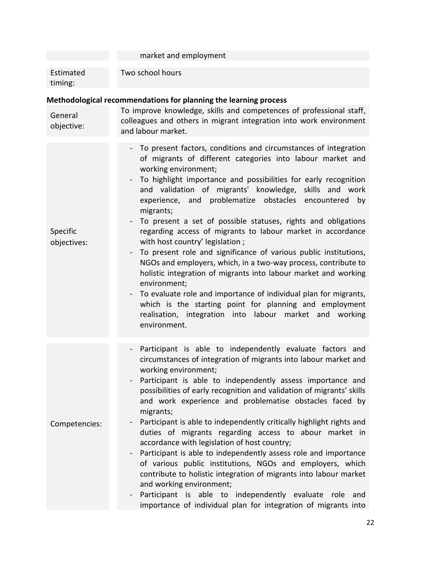|                         | market and employment                                                                                                                                                                                                                                                                                                                                                                                                                                                                                                                                                                                                                                                                                                                                                                                                                                                                                                                                                                 |
|-------------------------|---------------------------------------------------------------------------------------------------------------------------------------------------------------------------------------------------------------------------------------------------------------------------------------------------------------------------------------------------------------------------------------------------------------------------------------------------------------------------------------------------------------------------------------------------------------------------------------------------------------------------------------------------------------------------------------------------------------------------------------------------------------------------------------------------------------------------------------------------------------------------------------------------------------------------------------------------------------------------------------|
| Estimated<br>timing:    | Two school hours                                                                                                                                                                                                                                                                                                                                                                                                                                                                                                                                                                                                                                                                                                                                                                                                                                                                                                                                                                      |
|                         | Methodological recommendations for planning the learning process                                                                                                                                                                                                                                                                                                                                                                                                                                                                                                                                                                                                                                                                                                                                                                                                                                                                                                                      |
| General<br>objective:   | To improve knowledge, skills and competences of professional staff,<br>colleagues and others in migrant integration into work environment<br>and labour market.                                                                                                                                                                                                                                                                                                                                                                                                                                                                                                                                                                                                                                                                                                                                                                                                                       |
| Specific<br>objectives: | - To present factors, conditions and circumstances of integration<br>of migrants of different categories into labour market and<br>working environment;<br>To highlight importance and possibilities for early recognition<br>$\qquad \qquad -$<br>and validation of migrants' knowledge, skills and work<br>experience, and problematize obstacles encountered by<br>migrants;<br>To present a set of possible statuses, rights and obligations<br>regarding access of migrants to labour market in accordance<br>with host country' legislation;<br>To present role and significance of various public institutions,<br>NGOs and employers, which, in a two-way process, contribute to<br>holistic integration of migrants into labour market and working<br>environment;<br>To evaluate role and importance of individual plan for migrants,<br>which is the starting point for planning and employment<br>realisation, integration into labour market and working<br>environment. |
| Competencies:           | Participant is able to independently evaluate factors and<br>circumstances of integration of migrants into labour market and<br>working environment;<br>Participant is able to independently assess importance and<br>possibilities of early recognition and validation of migrants' skills<br>and work experience and problematise obstacles faced by<br>migrants;<br>Participant is able to independently critically highlight rights and<br>$\qquad \qquad \blacksquare$<br>duties of migrants regarding access to abour market in<br>accordance with legislation of host country;<br>Participant is able to independently assess role and importance<br>of various public institutions, NGOs and employers, which<br>contribute to holistic integration of migrants into labour market<br>and working environment;<br>Participant is able to independently evaluate role<br>and<br>$\qquad \qquad -$<br>importance of individual plan for integration of migrants into            |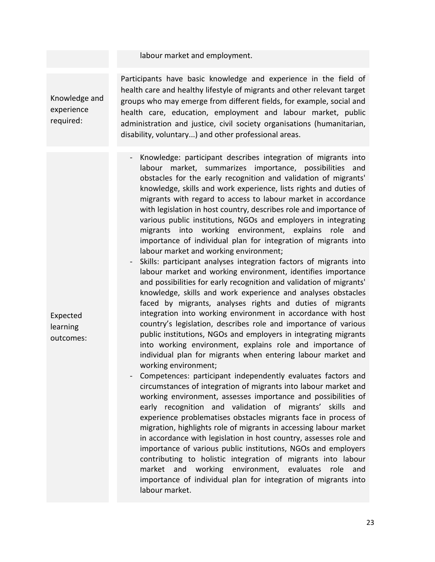#### labour market and employment.

Knowledge and experience required:

Participants have basic knowledge and experience in the field of health care and healthy lifestyle of migrants and other relevant target groups who may emerge from different fields, for example, social and health care, education, employment and labour market, public administration and justice, civil society organisations (humanitarian, disability, voluntary...) and other professional areas.

- Knowledge: participant describes integration of migrants into labour market, summarizes importance, possibilities and obstacles for the early recognition and validation of migrants' knowledge, skills and work experience, lists rights and duties of migrants with regard to access to labour market in accordance with legislation in host country, describes role and importance of various public institutions, NGOs and employers in integrating migrants into working environment, explains role and importance of individual plan for integration of migrants into labour market and working environment;
- Skills: participant analyses integration factors of migrants into labour market and working environment, identifies importance and possibilities for early recognition and validation of migrants' knowledge, skills and work experience and analyses obstacles faced by migrants, analyses rights and duties of migrants integration into working environment in accordance with host country's legislation, describes role and importance of various public institutions, NGOs and employers in integrating migrants into working environment, explains role and importance of individual plan for migrants when entering labour market and working environment;
- Competences: participant independently evaluates factors and circumstances of integration of migrants into labour market and working environment, assesses importance and possibilities of early recognition and validation of migrants' skills and experience problematises obstacles migrants face in process of migration, highlights role of migrants in accessing labour market in accordance with legislation in host country, assesses role and importance of various public institutions, NGOs and employers contributing to holistic integration of migrants into labour market and working environment, evaluates role and importance of individual plan for integration of migrants into labour market.
- Expected learning outcomes: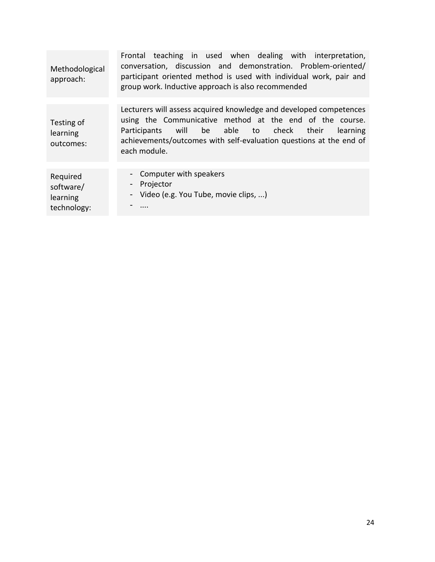| Methodological<br>approach:                      | Frontal teaching in used when dealing with interpretation,<br>conversation, discussion and demonstration. Problem-oriented/<br>participant oriented method is used with individual work, pair and<br>group work. Inductive approach is also recommended                         |
|--------------------------------------------------|---------------------------------------------------------------------------------------------------------------------------------------------------------------------------------------------------------------------------------------------------------------------------------|
|                                                  |                                                                                                                                                                                                                                                                                 |
| Testing of<br>learning<br>outcomes:              | Lecturers will assess acquired knowledge and developed competences<br>using the Communicative method at the end of the course.<br>will be able to check their<br>Participants<br>learning<br>achievements/outcomes with self-evaluation questions at the end of<br>each module. |
|                                                  |                                                                                                                                                                                                                                                                                 |
| Required<br>software/<br>learning<br>technology: | - Computer with speakers<br>Projector<br>$\blacksquare$<br>- Video (e.g. You Tube, movie clips, )                                                                                                                                                                               |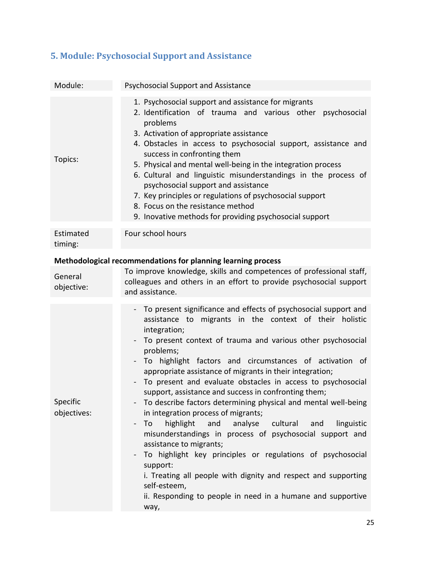| Module:                 | Psychosocial Support and Assistance                                                                                                                                                                                                                                                                                                                                                                                                                                                                                                                                                                                                                                                                                                                                                                                                                                                                                                                                                                                   |
|-------------------------|-----------------------------------------------------------------------------------------------------------------------------------------------------------------------------------------------------------------------------------------------------------------------------------------------------------------------------------------------------------------------------------------------------------------------------------------------------------------------------------------------------------------------------------------------------------------------------------------------------------------------------------------------------------------------------------------------------------------------------------------------------------------------------------------------------------------------------------------------------------------------------------------------------------------------------------------------------------------------------------------------------------------------|
| Topics:                 | 1. Psychosocial support and assistance for migrants<br>2. Identification of trauma and various other psychosocial<br>problems<br>3. Activation of appropriate assistance<br>4. Obstacles in access to psychosocial support, assistance and<br>success in confronting them<br>5. Physical and mental well-being in the integration process<br>6. Cultural and linguistic misunderstandings in the process of<br>psychosocial support and assistance<br>7. Key principles or regulations of psychosocial support<br>8. Focus on the resistance method<br>9. Inovative methods for providing psychosocial support                                                                                                                                                                                                                                                                                                                                                                                                        |
| Estimated<br>timing:    | Four school hours                                                                                                                                                                                                                                                                                                                                                                                                                                                                                                                                                                                                                                                                                                                                                                                                                                                                                                                                                                                                     |
|                         | Methodological recommendations for planning learning process                                                                                                                                                                                                                                                                                                                                                                                                                                                                                                                                                                                                                                                                                                                                                                                                                                                                                                                                                          |
| General<br>objective:   | To improve knowledge, skills and competences of professional staff,<br>colleagues and others in an effort to provide psychosocial support<br>and assistance.                                                                                                                                                                                                                                                                                                                                                                                                                                                                                                                                                                                                                                                                                                                                                                                                                                                          |
| Specific<br>objectives: | To present significance and effects of psychosocial support and<br>assistance to migrants in the context of their holistic<br>integration;<br>To present context of trauma and various other psychosocial<br>$\overline{\phantom{a}}$<br>problems;<br>To highlight factors and circumstances of activation of<br>appropriate assistance of migrants in their integration;<br>To present and evaluate obstacles in access to psychosocial<br>support, assistance and success in confronting them;<br>To describe factors determining physical and mental well-being<br>in integration process of migrants;<br>highlight and<br>analyse cultural<br>To<br>and<br>linguistic<br>$\blacksquare$<br>misunderstandings in process of psychosocial support and<br>assistance to migrants;<br>To highlight key principles or regulations of psychosocial<br>support:<br>i. Treating all people with dignity and respect and supporting<br>self-esteem,<br>ii. Responding to people in need in a humane and supportive<br>way, |

### <span id="page-24-0"></span>**5. Module: Psychosocial Support and Assistance**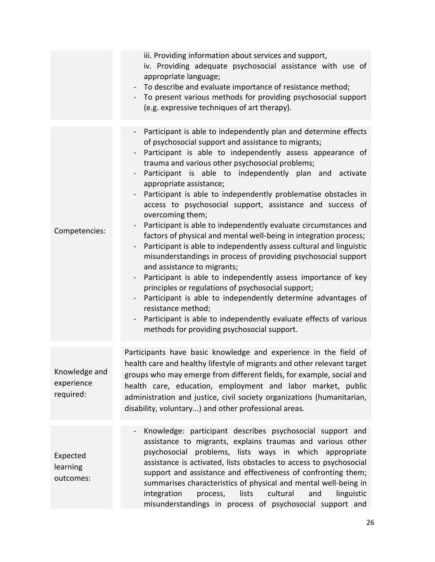|                                          | iii. Providing information about services and support,<br>iv. Providing adequate psychosocial assistance with use of<br>appropriate language;<br>To describe and evaluate importance of resistance method;<br>- To present various methods for providing psychosocial support<br>(e.g. expressive techniques of art therapy).                                                                                                                                                                                                                                                                                                                                                                                                                                                                                                                                                                                                                                                                                                                                                                                                                                                              |
|------------------------------------------|--------------------------------------------------------------------------------------------------------------------------------------------------------------------------------------------------------------------------------------------------------------------------------------------------------------------------------------------------------------------------------------------------------------------------------------------------------------------------------------------------------------------------------------------------------------------------------------------------------------------------------------------------------------------------------------------------------------------------------------------------------------------------------------------------------------------------------------------------------------------------------------------------------------------------------------------------------------------------------------------------------------------------------------------------------------------------------------------------------------------------------------------------------------------------------------------|
| Competencies:                            | Participant is able to independently plan and determine effects<br>of psychosocial support and assistance to migrants;<br>Participant is able to independently assess appearance of<br>trauma and various other psychosocial problems;<br>Participant is able to independently plan and activate<br>appropriate assistance;<br>Participant is able to independently problematise obstacles in<br>access to psychosocial support, assistance and success of<br>overcoming them;<br>Participant is able to independently evaluate circumstances and<br>$\overline{\phantom{a}}$<br>factors of physical and mental well-being in integration process;<br>Participant is able to independently assess cultural and linguistic<br>misunderstandings in process of providing psychosocial support<br>and assistance to migrants;<br>Participant is able to independently assess importance of key<br>principles or regulations of psychosocial support;<br>Participant is able to independently determine advantages of<br>resistance method;<br>Participant is able to independently evaluate effects of various<br>$\qquad \qquad \blacksquare$<br>methods for providing psychosocial support. |
| Knowledge and<br>experience<br>required: | Participants have basic knowledge and experience in the field of<br>health care and healthy lifestyle of migrants and other relevant target<br>groups who may emerge from different fields, for example, social and<br>health care, education, employment and labor market, public<br>administration and justice, civil society organizations (humanitarian,<br>disability, voluntary) and other professional areas.                                                                                                                                                                                                                                                                                                                                                                                                                                                                                                                                                                                                                                                                                                                                                                       |
| Expected<br>learning<br>outcomes:        | Knowledge: participant describes psychosocial support and<br>assistance to migrants, explains traumas and various other<br>problems, lists ways in which appropriate<br>psychosocial<br>assistance is activated, lists obstacles to access to psychosocial<br>support and assistance and effectiveness of confronting them;<br>summarises characteristics of physical and mental well-being in<br>lists<br>cultural<br>integration<br>process,<br>and<br>linguistic<br>misunderstandings in process of psychosocial support and                                                                                                                                                                                                                                                                                                                                                                                                                                                                                                                                                                                                                                                            |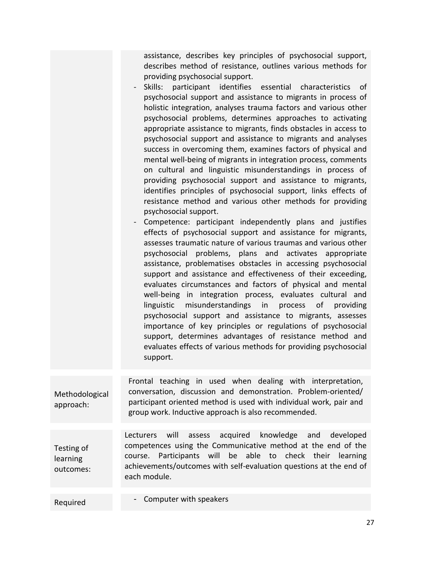assistance, describes key principles of psychosocial support, describes method of resistance, outlines various methods for providing psychosocial support.

- Skills: participant identifies essential characteristics of psychosocial support and assistance to migrants in process of holistic integration, analyses trauma factors and various other psychosocial problems, determines approaches to activating appropriate assistance to migrants, finds obstacles in access to psychosocial support and assistance to migrants and analyses success in overcoming them, examines factors of physical and mental well-being of migrants in integration process, comments on cultural and linguistic misunderstandings in process of providing psychosocial support and assistance to migrants, identifies principles of psychosocial support, links effects of resistance method and various other methods for providing psychosocial support.
- Competence: participant independently plans and justifies effects of psychosocial support and assistance for migrants, assesses traumatic nature of various traumas and various other psychosocial problems, plans and activates appropriate assistance, problematises obstacles in accessing psychosocial support and assistance and effectiveness of their exceeding, evaluates circumstances and factors of physical and mental well-being in integration process, evaluates cultural and linguistic misunderstandings in process of providing psychosocial support and assistance to migrants, assesses importance of key principles or regulations of psychosocial support, determines advantages of resistance method and evaluates effects of various methods for providing psychosocial support.

Methodological approach: Frontal teaching in used when dealing with interpretation, conversation, discussion and demonstration. Problem-oriented/ participant oriented method is used with individual work, pair and group work. Inductive approach is also recommended.

Testing of learning outcomes: Lecturers will assess acquired knowledge and developed competences using the Communicative method at the end of the course. Participants will be able to check their learning achievements/outcomes with self-evaluation questions at the end of each module.

Required **- Computer with speakers**